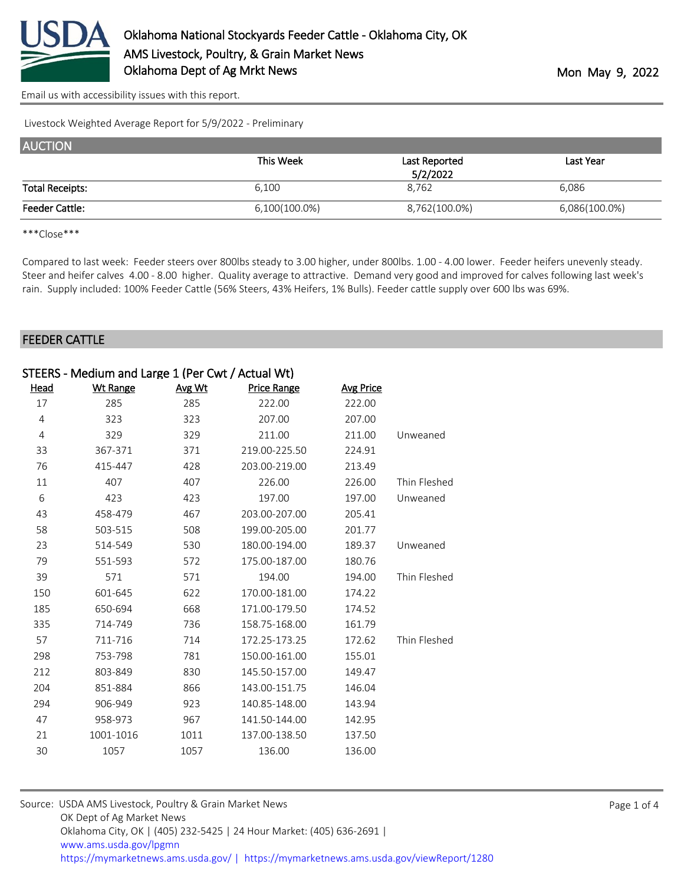

[Email us with accessibility issues with this report.](mailto:mars@ams.usda.gov?subject=508%20issue)

Livestock Weighted Average Report for 5/9/2022 - Preliminary

| <b>AUCTION</b>         |               |                           |               |
|------------------------|---------------|---------------------------|---------------|
|                        | This Week     | Last Reported<br>5/2/2022 | Last Year     |
| <b>Total Receipts:</b> | 6,100         | 8,762                     | 6,086         |
| <b>Feeder Cattle:</b>  | 6,100(100.0%) | 8,762(100.0%)             | 6,086(100.0%) |

\*\*\*Close\*\*\*

Compared to last week: Feeder steers over 800lbs steady to 3.00 higher, under 800lbs. 1.00 - 4.00 lower. Feeder heifers unevenly steady. Steer and heifer calves 4.00 - 8.00 higher. Quality average to attractive. Demand very good and improved for calves following last week's rain. Supply included: 100% Feeder Cattle (56% Steers, 43% Heifers, 1% Bulls). Feeder cattle supply over 600 lbs was 69%.

#### FEEDER CATTLE

|             | STEERS - Medium and Large 1 (Per Cwt / Actual Wt) |        |                    |                  |              |
|-------------|---------------------------------------------------|--------|--------------------|------------------|--------------|
| <u>Head</u> | <b>Wt Range</b>                                   | Avg Wt | <b>Price Range</b> | <b>Avg Price</b> |              |
| 17          | 285                                               | 285    | 222.00             | 222.00           |              |
| 4           | 323                                               | 323    | 207.00             | 207.00           |              |
| 4           | 329                                               | 329    | 211.00             | 211.00           | Unweaned     |
| 33          | 367-371                                           | 371    | 219.00-225.50      | 224.91           |              |
| 76          | 415-447                                           | 428    | 203.00-219.00      | 213.49           |              |
| 11          | 407                                               | 407    | 226.00             | 226.00           | Thin Fleshed |
| 6           | 423                                               | 423    | 197.00             | 197.00           | Unweaned     |
| 43          | 458-479                                           | 467    | 203.00-207.00      | 205.41           |              |
| 58          | 503-515                                           | 508    | 199.00-205.00      | 201.77           |              |
| 23          | 514-549                                           | 530    | 180.00-194.00      | 189.37           | Unweaned     |
| 79          | 551-593                                           | 572    | 175.00-187.00      | 180.76           |              |
| 39          | 571                                               | 571    | 194.00             | 194.00           | Thin Fleshed |
| 150         | 601-645                                           | 622    | 170.00-181.00      | 174.22           |              |
| 185         | 650-694                                           | 668    | 171.00-179.50      | 174.52           |              |
| 335         | 714-749                                           | 736    | 158.75-168.00      | 161.79           |              |
| 57          | 711-716                                           | 714    | 172.25-173.25      | 172.62           | Thin Fleshed |
| 298         | 753-798                                           | 781    | 150.00-161.00      | 155.01           |              |
| 212         | 803-849                                           | 830    | 145.50-157.00      | 149.47           |              |
| 204         | 851-884                                           | 866    | 143.00-151.75      | 146.04           |              |
| 294         | 906-949                                           | 923    | 140.85-148.00      | 143.94           |              |
| 47          | 958-973                                           | 967    | 141.50-144.00      | 142.95           |              |
| 21          | 1001-1016                                         | 1011   | 137.00-138.50      | 137.50           |              |
| 30          | 1057                                              | 1057   | 136.00             | 136.00           |              |

| Source: USDA AMS Livestock, Poultry & Grain Market News                                |  |
|----------------------------------------------------------------------------------------|--|
| OK Dept of Ag Market News                                                              |  |
| Oklahoma City, OK   (405) 232-5425   24 Hour Market: (405) 636-2691                    |  |
| www.ams.usda.gov/lpgmn                                                                 |  |
| https://mymarketnews.ams.usda.gov/   https://mymarketnews.ams.usda.gov/viewReport/1280 |  |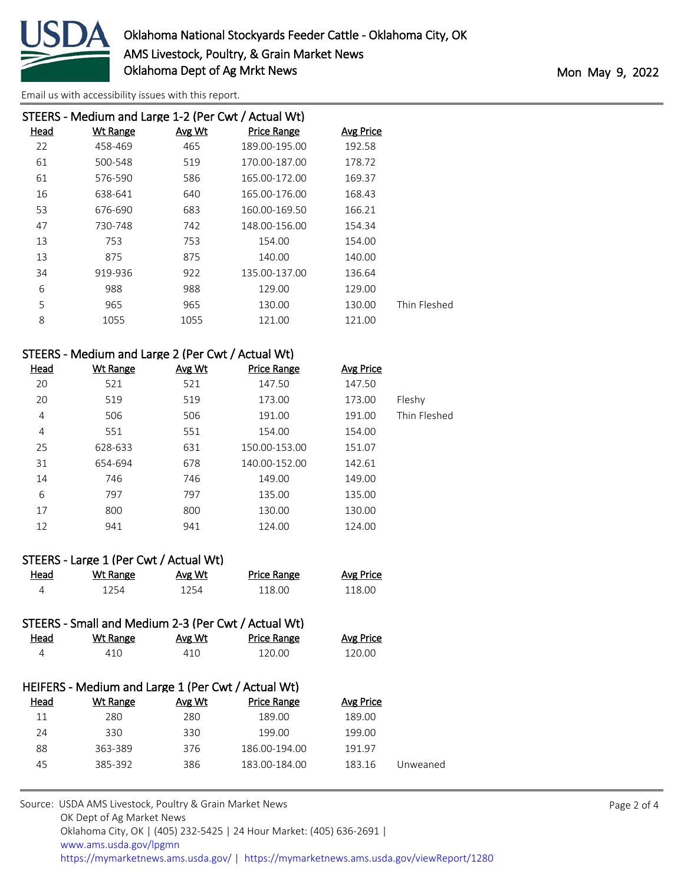

[Email us with accessibility issues with this report.](mailto:mars@ams.usda.gov?subject=508%20issue)

|      | STEERS - Medium and Large 1-2 (Per Cwt / Actual Wt) |        |               |                  |              |
|------|-----------------------------------------------------|--------|---------------|------------------|--------------|
| Head | <b>Wt Range</b>                                     | Avg Wt | Price Range   | <b>Avg Price</b> |              |
| 22   | 458-469                                             | 465    | 189.00-195.00 | 192.58           |              |
| 61   | 500-548                                             | 519    | 170.00-187.00 | 178.72           |              |
| 61   | 576-590                                             | 586    | 165.00-172.00 | 169.37           |              |
| 16   | 638-641                                             | 640    | 165.00-176.00 | 168.43           |              |
| 53   | 676-690                                             | 683    | 160.00-169.50 | 166.21           |              |
| 47   | 730-748                                             | 742    | 148.00-156.00 | 154.34           |              |
| 13   | 753                                                 | 753    | 154.00        | 154.00           |              |
| 13   | 875                                                 | 875    | 140.00        | 140.00           |              |
| 34   | 919-936                                             | 922    | 135.00-137.00 | 136.64           |              |
| 6    | 988                                                 | 988    | 129.00        | 129.00           |              |
| 5    | 965                                                 | 965    | 130.00        | 130.00           | Thin Fleshed |
| 8    | 1055                                                | 1055   | 121.00        | 121.00           |              |
|      |                                                     |        |               |                  |              |

## STEERS - Medium and Large 2 (Per Cwt / Actual Wt)

| <b>Head</b> | <b>Wt Range</b> | Avg Wt | <b>Price Range</b> | <b>Avg Price</b> |              |
|-------------|-----------------|--------|--------------------|------------------|--------------|
| 20          | 521             | 521    | 147.50             | 147.50           |              |
| 20          | 519             | 519    | 173.00             | 173.00           | Fleshy       |
| 4           | 506             | 506    | 191.00             | 191.00           | Thin Fleshed |
| 4           | 551             | 551    | 154.00             | 154.00           |              |
| 25          | 628-633         | 631    | 150.00-153.00      | 151.07           |              |
| 31          | 654-694         | 678    | 140.00-152.00      | 142.61           |              |
| 14          | 746             | 746    | 149.00             | 149.00           |              |
| 6           | 797             | 797    | 135.00             | 135.00           |              |
| 17          | 800             | 800    | 130.00             | 130.00           |              |
| 12          | 941             | 941    | 124.00             | 124.00           |              |

|      | STEERS - Large 1 (Per Cwt / Actual Wt) |        |                    |                  |
|------|----------------------------------------|--------|--------------------|------------------|
| Head | Wt Range                               | Avg Wt | <b>Price Range</b> | <b>Avg Price</b> |
| Δ    | 1254                                   | 1254   | 118.00             | 118.00           |

|             | STEERS - Small and Medium 2-3 (Per Cwt / Actual Wt) |        |                    |           |          |
|-------------|-----------------------------------------------------|--------|--------------------|-----------|----------|
| <u>Head</u> | Wt Range                                            | Avg Wt | <b>Price Range</b> | Avg Price |          |
| 4           | 410                                                 | 410    | 120.00             | 120.00    |          |
|             |                                                     |        |                    |           |          |
|             | HEIFERS - Medium and Large 1 (Per Cwt / Actual Wt)  |        |                    |           |          |
| Head        | Wt Range                                            | Avg Wt | <b>Price Range</b> | Avg Price |          |
| 11          | 280                                                 | 280    | 189.00             | 189.00    |          |
| 24          | 330                                                 | 330    | 199.00             | 199.00    |          |
| 88          | 363-389                                             | 376    | 186.00-194.00      | 191.97    |          |
| 45          | 385-392                                             | 386    | 183.00-184.00      | 183.16    | Unweaned |
|             |                                                     |        |                    |           |          |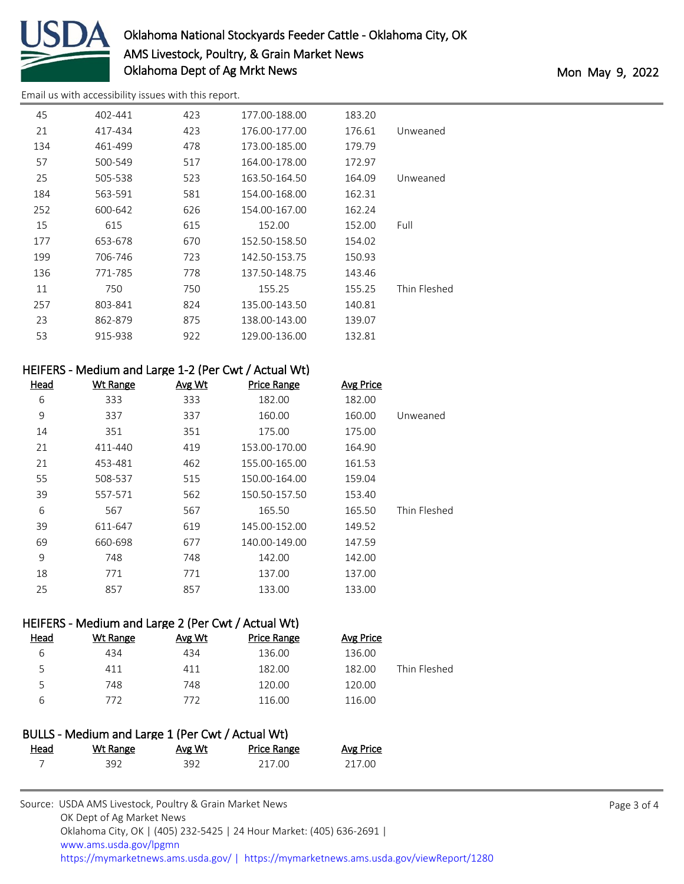

# Oklahoma National Stockyards Feeder Cattle - Oklahoma City, OK AMS Livestock, Poultry, & Grain Market News Oklahoma Dept of Ag Mrkt News Mon May 9, 2022

[Email us with accessibility issues with this report.](mailto:mars@ams.usda.gov?subject=508%20issue)

| 45  | 402-441 | 423 | 177.00-188.00 | 183.20 |              |
|-----|---------|-----|---------------|--------|--------------|
|     |         |     |               |        |              |
| 21  | 417-434 | 423 | 176.00-177.00 | 176.61 | Unweaned     |
| 134 | 461-499 | 478 | 173.00-185.00 | 179.79 |              |
| 57  | 500-549 | 517 | 164.00-178.00 | 172.97 |              |
| 25  | 505-538 | 523 | 163.50-164.50 | 164.09 | Unweaned     |
| 184 | 563-591 | 581 | 154.00-168.00 | 162.31 |              |
| 252 | 600-642 | 626 | 154.00-167.00 | 162.24 |              |
| 15  | 615     | 615 | 152.00        | 152.00 | Full         |
| 177 | 653-678 | 670 | 152.50-158.50 | 154.02 |              |
| 199 | 706-746 | 723 | 142.50-153.75 | 150.93 |              |
| 136 | 771-785 | 778 | 137.50-148.75 | 143.46 |              |
| 11  | 750     | 750 | 155.25        | 155.25 | Thin Fleshed |
| 257 | 803-841 | 824 | 135.00-143.50 | 140.81 |              |
| 23  | 862-879 | 875 | 138.00-143.00 | 139.07 |              |
| 53  | 915-938 | 922 | 129.00-136.00 | 132.81 |              |
|     |         |     |               |        |              |

### HEIFERS - Medium and Large 1-2 (Per Cwt / Actual Wt)

| <u>Head</u> | <b>Wt Range</b> | Avg Wt | <b>Price Range</b> | <b>Avg Price</b> |              |
|-------------|-----------------|--------|--------------------|------------------|--------------|
| 6           | 333             | 333    | 182.00             | 182.00           |              |
| 9           | 337             | 337    | 160.00             | 160.00           | Unweaned     |
| 14          | 351             | 351    | 175.00             | 175.00           |              |
| 21          | 411-440         | 419    | 153.00-170.00      | 164.90           |              |
| 21          | 453-481         | 462    | 155.00-165.00      | 161.53           |              |
| 55          | 508-537         | 515    | 150.00-164.00      | 159.04           |              |
| 39          | 557-571         | 562    | 150.50-157.50      | 153.40           |              |
| 6           | 567             | 567    | 165.50             | 165.50           | Thin Fleshed |
| 39          | 611-647         | 619    | 145.00-152.00      | 149.52           |              |
| 69          | 660-698         | 677    | 140.00-149.00      | 147.59           |              |
| 9           | 748             | 748    | 142.00             | 142.00           |              |
| 18          | 771             | 771    | 137.00             | 137.00           |              |
| 25          | 857             | 857    | 133.00             | 133.00           |              |

### HEIFERS - Medium and Large 2 (Per Cwt / Actual Wt)

| <u>Head</u> | Wt Range | Avg Wt | <b>Price Range</b> | Avg Price |              |
|-------------|----------|--------|--------------------|-----------|--------------|
| ь           | 434      | 434    | 136.00             | 136.00    |              |
|             | 411      | 411    | 182.00             | 182.00    | Thin Fleshed |
| ↖           | 748      | 748    | 120.00             | 120.00    |              |
| 6           | 772      | 772    | 116.00             | 116.00    |              |

|      | BULLS - Medium and Large 1 (Per Cwt / Actual Wt) |        |                    |           |
|------|--------------------------------------------------|--------|--------------------|-----------|
| Head | Wt Range                                         | Avg Wt | <b>Price Range</b> | Avg Price |
|      | 392.                                             | 392    | 217 OO             | 217.00    |